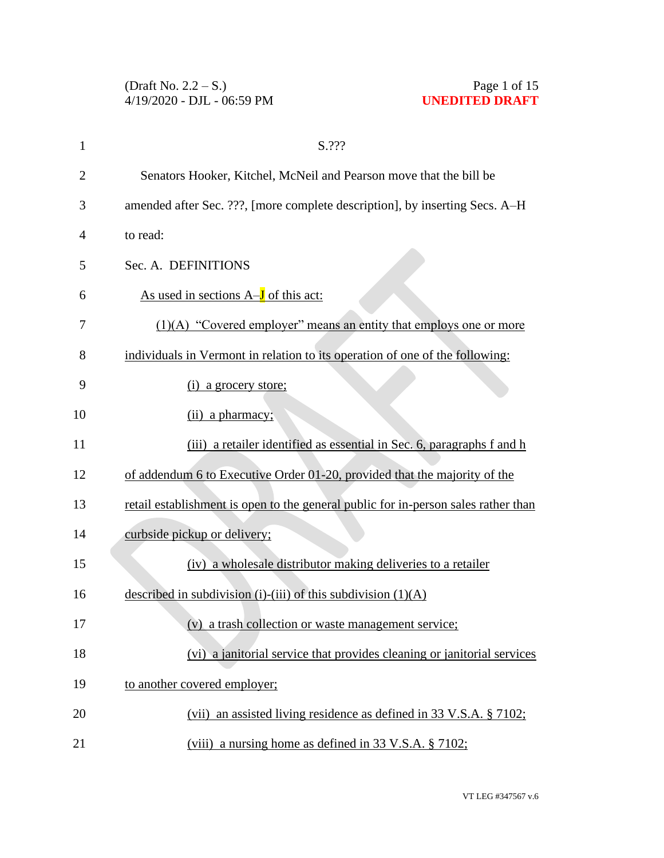| 1              | S.???                                                                              |
|----------------|------------------------------------------------------------------------------------|
| $\overline{2}$ | Senators Hooker, Kitchel, McNeil and Pearson move that the bill be                 |
| 3              | amended after Sec. ???, [more complete description], by inserting Secs. A-H        |
| 4              | to read:                                                                           |
| 5              | Sec. A. DEFINITIONS                                                                |
| 6              | As used in sections $A-J$ of this act:                                             |
| 7              | $(1)(A)$ "Covered employer" means an entity that employs one or more               |
| 8              | individuals in Vermont in relation to its operation of one of the following:       |
| 9              | (i) a grocery store;                                                               |
| 10             | (ii) a pharmacy;                                                                   |
| 11             | (iii) a retailer identified as essential in Sec. 6, paragraphs f and h             |
| 12             | of addendum 6 to Executive Order 01-20, provided that the majority of the          |
| 13             | retail establishment is open to the general public for in-person sales rather than |
| 14             | curbside pickup or delivery;                                                       |
| 15             | (iv) a wholesale distributor making deliveries to a retailer                       |
| 16             | described in subdivision (i)-(iii) of this subdivision $(1)(A)$                    |
| 17             | (v) a trash collection or waste management service;                                |
| 18             | (vi) a janitorial service that provides cleaning or janitorial services            |
| 19             | to another covered employer;                                                       |
| 20             | (vii) an assisted living residence as defined in 33 V.S.A. § 7102;                 |
| 21             | (viii) a nursing home as defined in 33 V.S.A. § 7102;                              |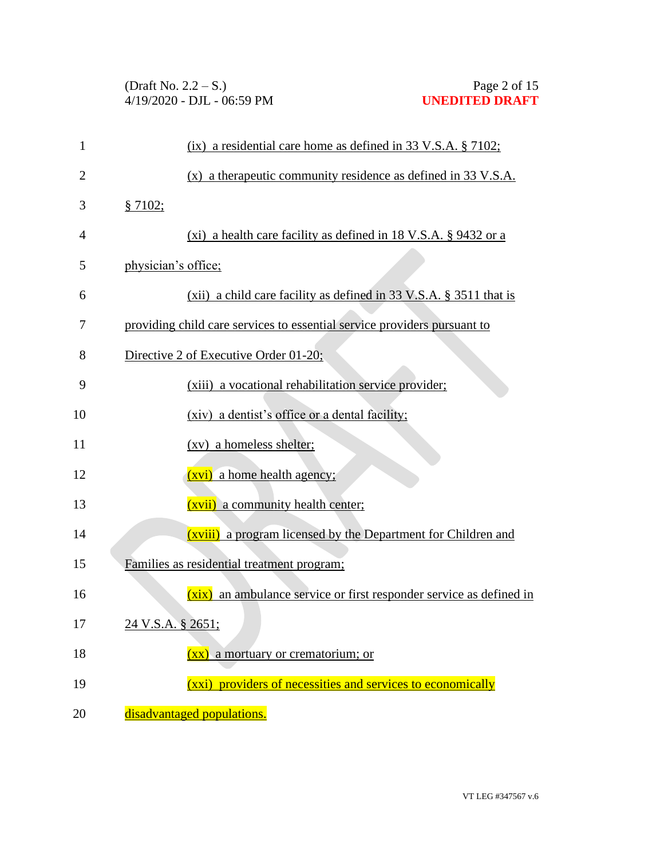| 1              | $(ix)$ a residential care home as defined in 33 V.S.A. § 7102;           |
|----------------|--------------------------------------------------------------------------|
| $\overline{2}$ | $(x)$ a therapeutic community residence as defined in 33 V.S.A.          |
| 3              | § 7102;                                                                  |
| 4              | (xi) a health care facility as defined in 18 V.S.A. $\S$ 9432 or a       |
| 5              | physician's office;                                                      |
| 6              | $(xii)$ a child care facility as defined in 33 V.S.A. § 3511 that is     |
| 7              | providing child care services to essential service providers pursuant to |
| 8              | Directive 2 of Executive Order 01-20;                                    |
| 9              | (xiii) a vocational rehabilitation service provider;                     |
| 10             | (xiv) a dentist's office or a dental facility;                           |
| 11             | (xv) a homeless shelter;                                                 |
| 12             | <u>(xvi)</u> a home health agency;                                       |
| 13             | (xvii) a community health center;                                        |
| 14             | (xviii) a program licensed by the Department for Children and            |
| 15             | Families as residential treatment program;                               |
| 16             | (xix) an ambulance service or first responder service as defined in      |
| 17             | 24 V.S.A. § 2651;                                                        |
| 18             | (xx) a mortuary or crematorium; or                                       |
| 19             | (xxi) providers of necessities and services to economically              |
| 20             | disadvantaged populations.                                               |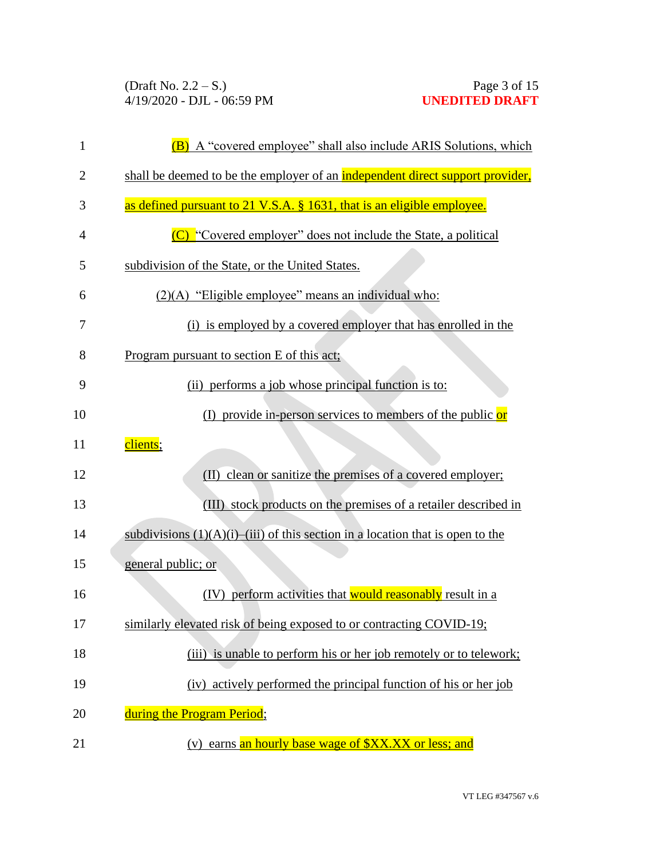| 1  | (B) A "covered employee" shall also include ARIS Solutions, which                     |
|----|---------------------------------------------------------------------------------------|
| 2  | shall be deemed to be the employer of an <b>independent direct support provider</b> , |
| 3  | as defined pursuant to 21 V.S.A. § 1631, that is an eligible employee.                |
| 4  | (C) "Covered employer" does not include the State, a political                        |
| 5  | subdivision of the State, or the United States.                                       |
| 6  | (2)(A) "Eligible employee" means an individual who:                                   |
| 7  | (i) is employed by a covered employer that has enrolled in the                        |
| 8  | Program pursuant to section E of this act;                                            |
| 9  | (ii) performs a job whose principal function is to:                                   |
| 10 | (I) provide in-person services to members of the public $or$                          |
| 11 | clients;                                                                              |
| 12 | clean or sanitize the premises of a covered employer;<br>(II)                         |
| 13 | (III) stock products on the premises of a retailer described in                       |
| 14 | subdivisions $(1)(A)(i)$ —(iii) of this section in a location that is open to the     |
| 15 | general public; or                                                                    |
| 16 | (IV) perform activities that would reasonably result in a                             |
| 17 | similarly elevated risk of being exposed to or contracting COVID-19;                  |
| 18 | (iii) is unable to perform his or her job remotely or to telework;                    |
| 19 | (iv) actively performed the principal function of his or her job                      |
| 20 | during the Program Period;                                                            |
| 21 | (v) earns an hourly base wage of \$XX.XX or less; and                                 |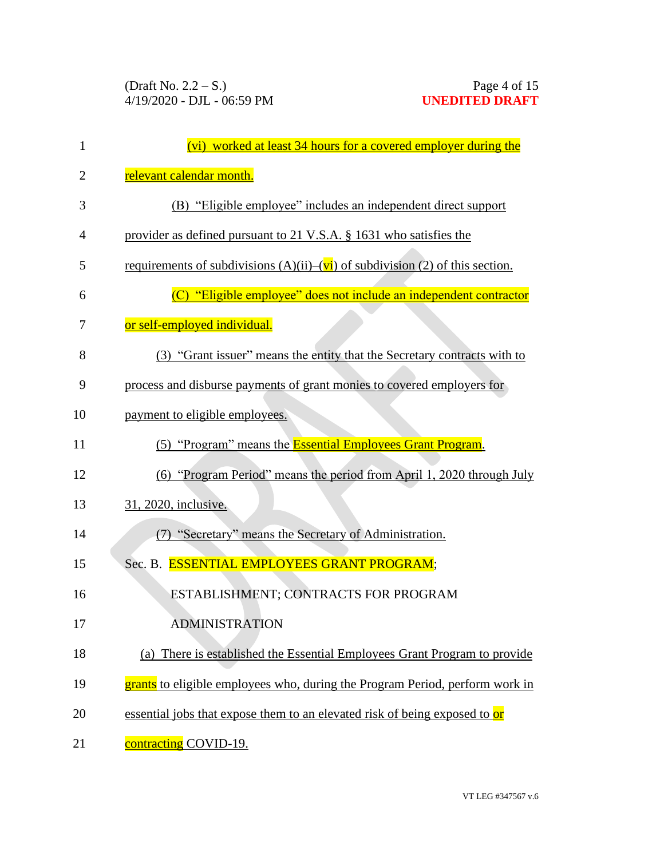| $\mathbf{1}$   | (vi) worked at least 34 hours for a covered employer during the                     |
|----------------|-------------------------------------------------------------------------------------|
| $\overline{2}$ | relevant calendar month.                                                            |
| 3              | (B) "Eligible employee" includes an independent direct support                      |
| 4              | provider as defined pursuant to 21 V.S.A. § 1631 who satisfies the                  |
| 5              | requirements of subdivisions $(A)(ii)$ – $(vi)$ of subdivision (2) of this section. |
| 6              | (C) "Eligible employee" does not include an independent contractor                  |
| 7              | or self-employed individual.                                                        |
| 8              | (3) "Grant issuer" means the entity that the Secretary contracts with to            |
| 9              | process and disburse payments of grant monies to covered employers for              |
| 10             | payment to eligible employees.                                                      |
| 11             | (5) "Program" means the <b>Essential Employees Grant Program</b> .                  |
| 12             | (6) "Program Period" means the period from April 1, 2020 through July               |
| 13             | 31, 2020, inclusive.                                                                |
| 14             | (7) "Secretary" means the Secretary of Administration.                              |
| 15             | Sec. B. ESSENTIAL EMPLOYEES GRANT PROGRAM;                                          |
| 16             | ESTABLISHMENT; CONTRACTS FOR PROGRAM                                                |
| 17             | <b>ADMINISTRATION</b>                                                               |
| 18             | (a) There is established the Essential Employees Grant Program to provide           |
| 19             | grants to eligible employees who, during the Program Period, perform work in        |
| 20             | essential jobs that expose them to an elevated risk of being exposed to or          |
| 21             | contracting COVID-19.                                                               |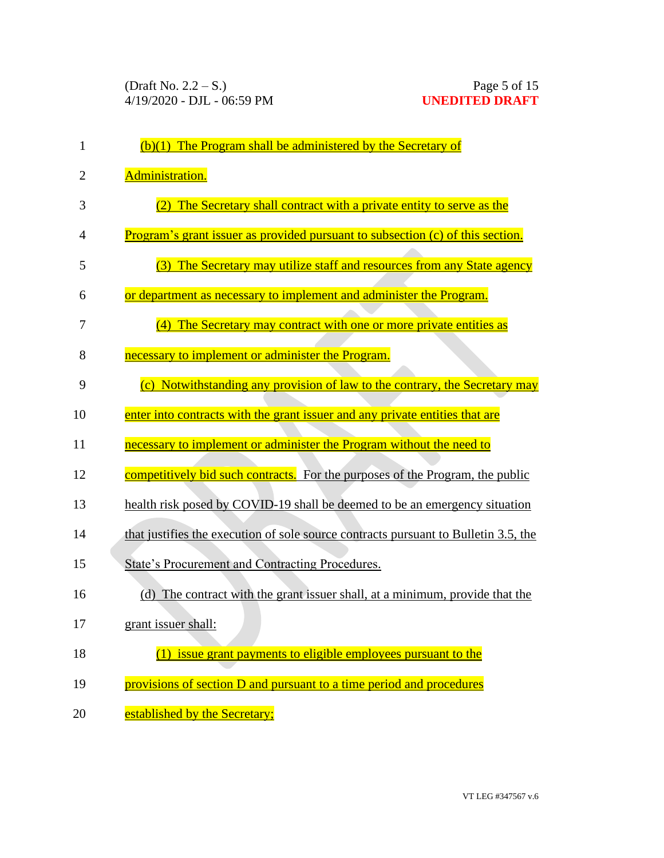| 1              | $(b)(1)$ The Program shall be administered by the Secretary of                      |
|----------------|-------------------------------------------------------------------------------------|
| $\overline{2}$ | Administration.                                                                     |
| 3              | The Secretary shall contract with a private entity to serve as the                  |
| 4              | Program's grant issuer as provided pursuant to subsection (c) of this section.      |
| 5              | The Secretary may utilize staff and resources from any State agency<br>(3)          |
| 6              | or department as necessary to implement and administer the Program.                 |
| 7              | The Secretary may contract with one or more private entities as                     |
| 8              | necessary to implement or administer the Program.                                   |
| 9              | (c) Notwithstanding any provision of law to the contrary, the Secretary may         |
| 10             | enter into contracts with the grant issuer and any private entities that are        |
| 11             | necessary to implement or administer the Program without the need to                |
| 12             | competitively bid such contracts. For the purposes of the Program, the public       |
| 13             | health risk posed by COVID-19 shall be deemed to be an emergency situation          |
| 14             | that justifies the execution of sole source contracts pursuant to Bulletin 3.5, the |
| 15             | <b>State's Procurement and Contracting Procedures.</b>                              |
| 16             | The contract with the grant issuer shall, at a minimum, provide that the<br>(d)     |
| 17             | grant issuer shall:                                                                 |
| 18             | (1) issue grant payments to eligible employees pursuant to the                      |
| 19             | provisions of section D and pursuant to a time period and procedures                |
| 20             | established by the Secretary;                                                       |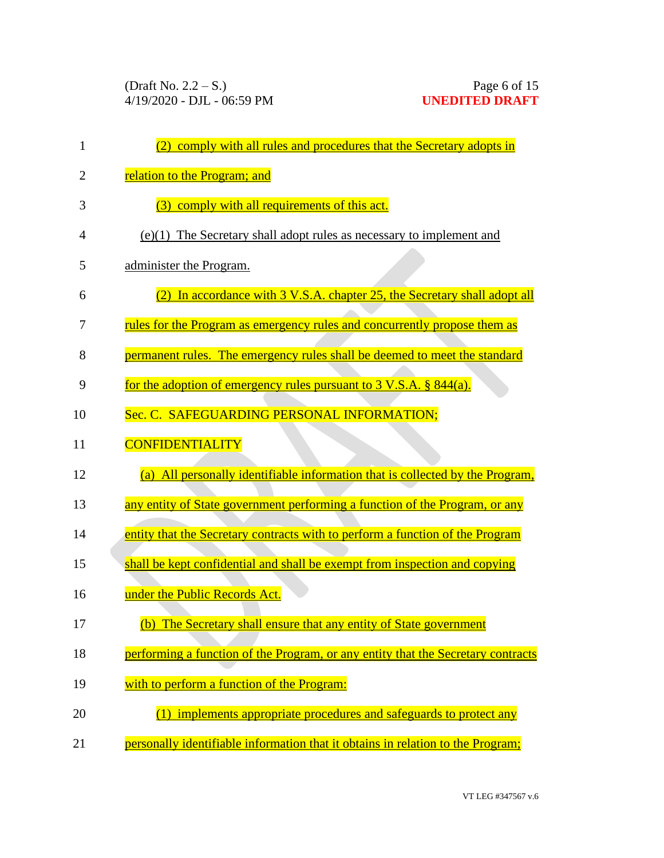| $\mathbf{1}$   | comply with all rules and procedures that the Secretary adopts in                   |
|----------------|-------------------------------------------------------------------------------------|
| $\overline{2}$ | relation to the Program; and                                                        |
| 3              | (3) comply with all requirements of this act.                                       |
| 4              | $(e)(1)$ The Secretary shall adopt rules as necessary to implement and              |
| 5              | administer the Program.                                                             |
| 6              | In accordance with 3 V.S.A. chapter 25, the Secretary shall adopt all               |
| 7              | rules for the Program as emergency rules and concurrently propose them as           |
| 8              | permanent rules. The emergency rules shall be deemed to meet the standard           |
| 9              | for the adoption of emergency rules pursuant to $3 \text{ V.S.A. }$ $\S$ $844(a)$ . |
| 10             | Sec. C. SAFEGUARDING PERSONAL INFORMATION;                                          |
| 11             | <b>CONFIDENTIALITY</b>                                                              |
| 12             | (a) All personally identifiable information that is collected by the Program.       |
| 13             | any entity of State government performing a function of the Program, or any         |
| 14             | entity that the Secretary contracts with to perform a function of the Program       |
| 15             | shall be kept confidential and shall be exempt from inspection and copying          |
| 16             | under the Public Records Act.                                                       |
| 17             | (b) The Secretary shall ensure that any entity of State government                  |
| 18             | performing a function of the Program, or any entity that the Secretary contracts    |
| 19             | with to perform a function of the Program:                                          |
| 20             | (1) implements appropriate procedures and safeguards to protect any                 |
| 21             | personally identifiable information that it obtains in relation to the Program;     |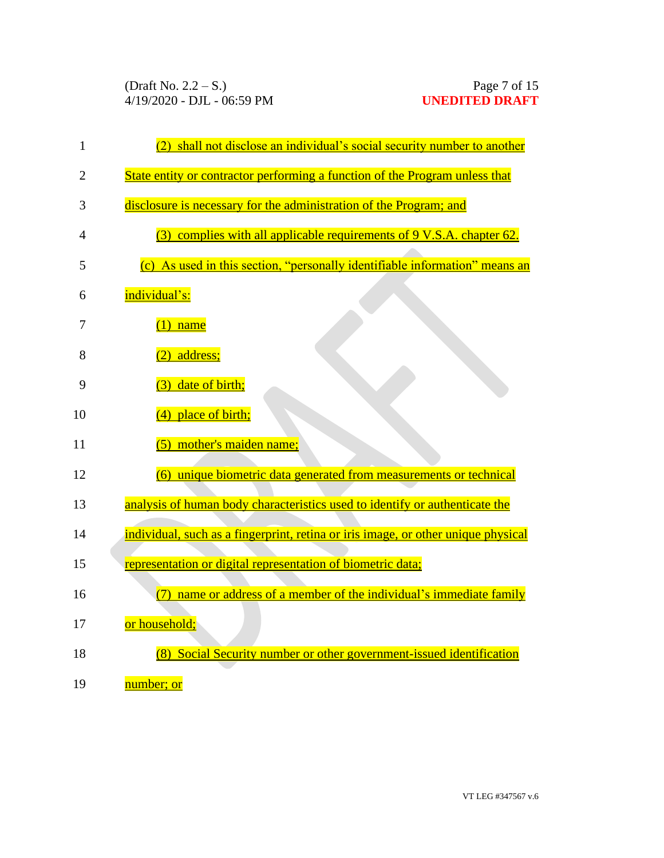| 1  | shall not disclose an individual's social security number to another<br>(2)       |
|----|-----------------------------------------------------------------------------------|
| 2  | State entity or contractor performing a function of the Program unless that       |
| 3  | disclosure is necessary for the administration of the Program; and                |
| 4  | (3) complies with all applicable requirements of 9 V.S.A. chapter 62.             |
| 5  | (c) As used in this section, "personally identifiable information" means an       |
| 6  | individual's:                                                                     |
| 7  | $(1)$ name                                                                        |
| 8  | $(2)$ address;                                                                    |
| 9  | (3) date of birth;                                                                |
| 10 | (4) place of birth;                                                               |
| 11 | (5) mother's maiden name;                                                         |
| 12 | (6) unique biometric data generated from measurements or technical                |
| 13 | analysis of human body characteristics used to identify or authenticate the       |
| 14 | individual, such as a fingerprint, retina or iris image, or other unique physical |
| 15 | representation or digital representation of biometric data;                       |
| 16 | name or address of a member of the individual's immediate family<br>(7)           |
| 17 | or household;                                                                     |
| 18 | Social Security number or other government-issued identification<br>(8)           |
| 19 | number; or                                                                        |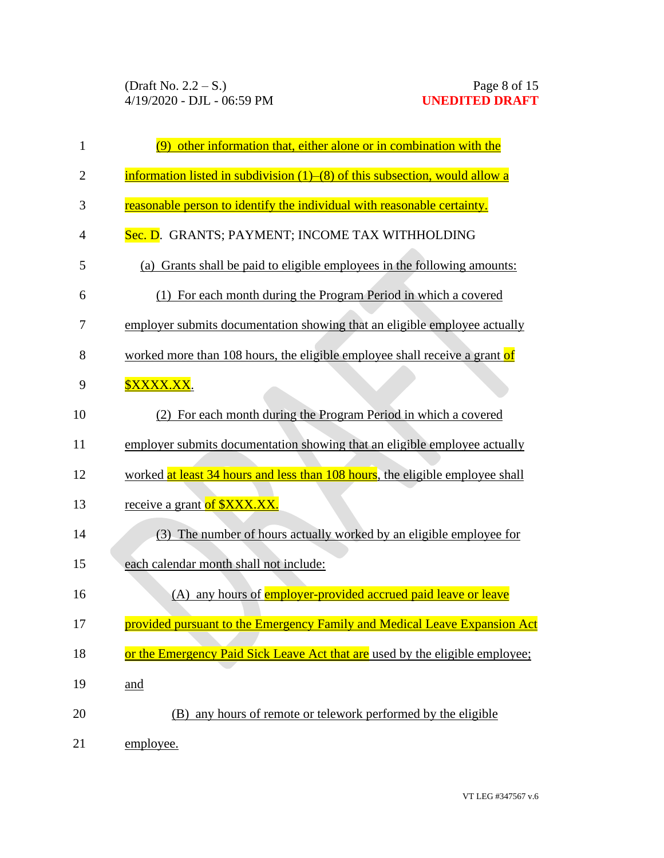| 1  | (9) other information that, either alone or in combination with the               |
|----|-----------------------------------------------------------------------------------|
| 2  | information listed in subdivision $(1)$ – $(8)$ of this subsection, would allow a |
| 3  | reasonable person to identify the individual with reasonable certainty.           |
| 4  | Sec. D. GRANTS; PAYMENT; INCOME TAX WITHHOLDING                                   |
| 5  | (a) Grants shall be paid to eligible employees in the following amounts:          |
| 6  | (1) For each month during the Program Period in which a covered                   |
| 7  | employer submits documentation showing that an eligible employee actually         |
| 8  | worked more than 108 hours, the eligible employee shall receive a grant of        |
| 9  | <b><u> \$XXXX.XX.</u></b>                                                         |
| 10 | (2) For each month during the Program Period in which a covered                   |
| 11 | employer submits documentation showing that an eligible employee actually         |
| 12 | worked at least 34 hours and less than 108 hours, the eligible employee shall     |
| 13 | receive a grant of <b>\$XXX.XX</b> .                                              |
| 14 | (3) The number of hours actually worked by an eligible employee for               |
| 15 | each calendar month shall not include:                                            |
| 16 | (A) any hours of <b>employer-provided accrued paid leave or leave</b>             |
| 17 | provided pursuant to the Emergency Family and Medical Leave Expansion Act         |
| 18 | or the Emergency Paid Sick Leave Act that are used by the eligible employee;      |
| 19 | and                                                                               |
| 20 | (B) any hours of remote or telework performed by the eligible                     |
| 21 | employee.                                                                         |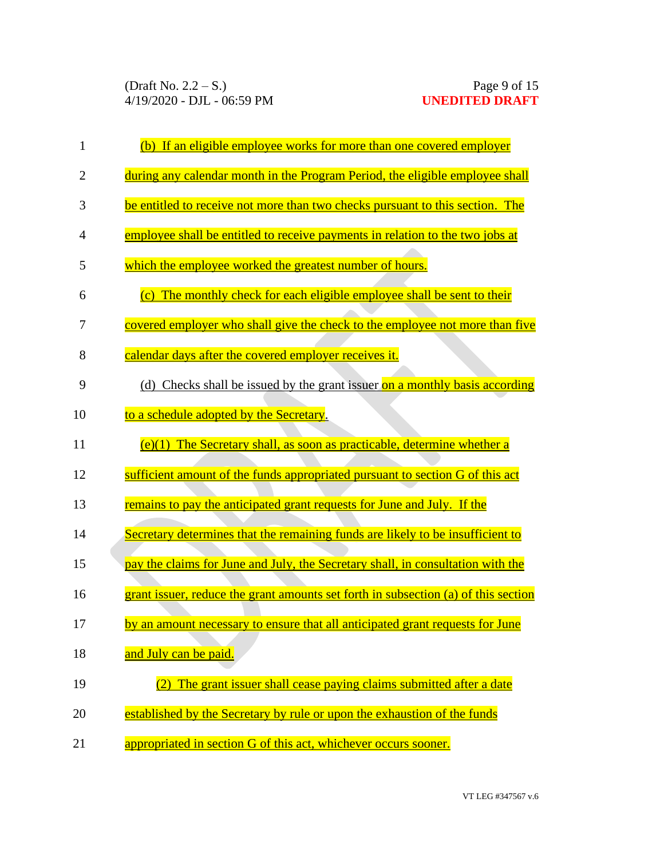| $\mathbf{1}$   | (b) If an eligible employee works for more than one covered employer               |
|----------------|------------------------------------------------------------------------------------|
| $\overline{2}$ | during any calendar month in the Program Period, the eligible employee shall       |
| 3              | be entitled to receive not more than two checks pursuant to this section. The      |
| 4              | employee shall be entitled to receive payments in relation to the two jobs at      |
| 5              | which the employee worked the greatest number of hours.                            |
| 6              | (c) The monthly check for each eligible employee shall be sent to their            |
| 7              | covered employer who shall give the check to the employee not more than five       |
| 8              | calendar days after the covered employer receives it.                              |
| 9              | (d) Checks shall be issued by the grant issuer on a monthly basis according        |
| 10             | to a schedule adopted by the Secretary.                                            |
| 11             | $(e)(1)$ The Secretary shall, as soon as practicable, determine whether a          |
| 12             | sufficient amount of the funds appropriated pursuant to section G of this act      |
| 13             | remains to pay the anticipated grant requests for June and July. If the            |
| 14             | Secretary determines that the remaining funds are likely to be insufficient to     |
| 15             | pay the claims for June and July, the Secretary shall, in consultation with the    |
| 16             | grant issuer, reduce the grant amounts set forth in subsection (a) of this section |
| 17             | by an amount necessary to ensure that all anticipated grant requests for June      |
| 18             | and July can be paid.                                                              |
| 19             | The grant issuer shall cease paying claims submitted after a date                  |
| 20             | established by the Secretary by rule or upon the exhaustion of the funds           |
| 21             | appropriated in section G of this act, whichever occurs sooner.                    |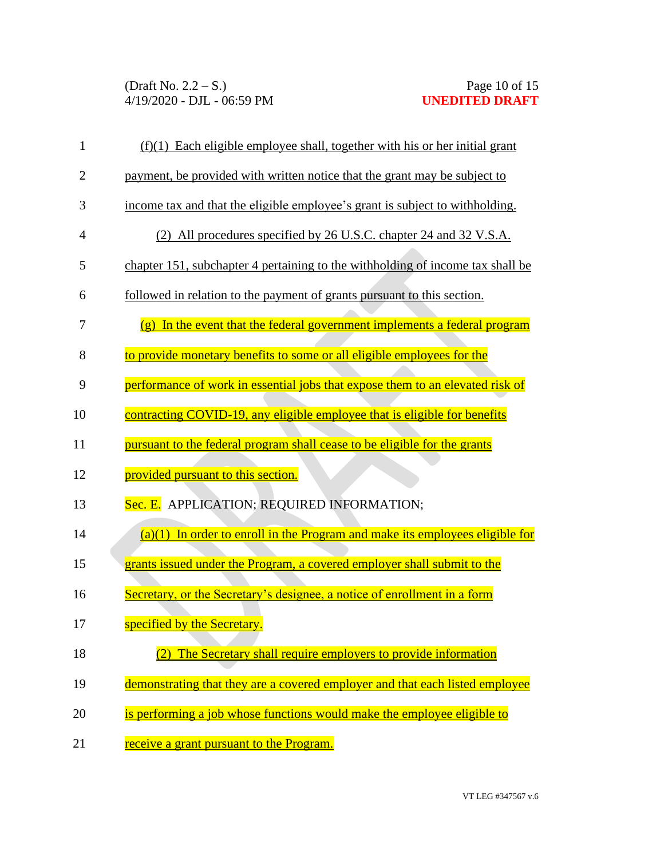| 1            | $(f)(1)$ Each eligible employee shall, together with his or her initial grant  |
|--------------|--------------------------------------------------------------------------------|
| $\mathbf{2}$ | payment, be provided with written notice that the grant may be subject to      |
| 3            | income tax and that the eligible employee's grant is subject to withholding.   |
| 4            | (2) All procedures specified by 26 U.S.C. chapter 24 and 32 V.S.A.             |
| 5            | chapter 151, subchapter 4 pertaining to the withholding of income tax shall be |
| 6            | followed in relation to the payment of grants pursuant to this section.        |
| 7            | $(g)$ In the event that the federal government implements a federal program    |
| 8            | to provide monetary benefits to some or all eligible employees for the         |
| 9            | performance of work in essential jobs that expose them to an elevated risk of  |
| 10           | contracting COVID-19, any eligible employee that is eligible for benefits      |
| 11           | pursuant to the federal program shall cease to be eligible for the grants      |
| 12           | provided pursuant to this section.                                             |
| 13           | Sec. E. APPLICATION; REQUIRED INFORMATION;                                     |
| 14           | $(a)(1)$ In order to enroll in the Program and make its employees eligible for |
| 15           | grants issued under the Program, a covered employer shall submit to the        |
| 16           | Secretary, or the Secretary's designee, a notice of enrollment in a form       |
| 17           | specified by the Secretary.                                                    |
| 18           | The Secretary shall require employers to provide information                   |
| 19           | demonstrating that they are a covered employer and that each listed employee   |
| 20           | is performing a job whose functions would make the employee eligible to        |
| 21           | receive a grant pursuant to the Program.                                       |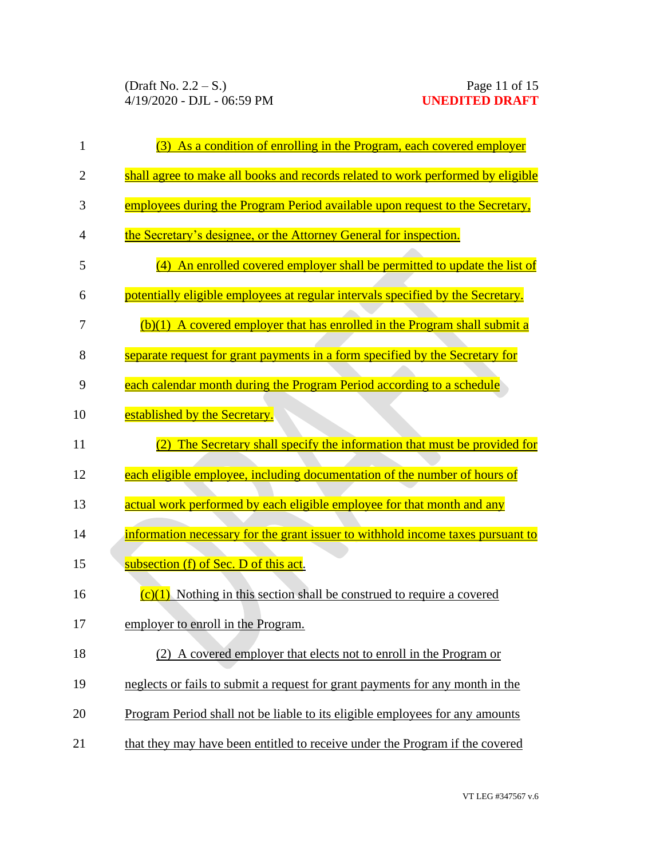| $\mathbf{1}$   | (3) As a condition of enrolling in the Program, each covered employer           |
|----------------|---------------------------------------------------------------------------------|
| $\overline{2}$ | shall agree to make all books and records related to work performed by eligible |
| 3              | employees during the Program Period available upon request to the Secretary,    |
| 4              | the Secretary's designee, or the Attorney General for inspection.               |
| 5              | An enrolled covered employer shall be permitted to update the list of<br>(4)    |
| 6              | potentially eligible employees at regular intervals specified by the Secretary. |
| 7              | $(b)(1)$ A covered employer that has enrolled in the Program shall submit a     |
| 8              | separate request for grant payments in a form specified by the Secretary for    |
| 9              | each calendar month during the Program Period according to a schedule           |
| 10             | established by the Secretary.                                                   |
| 11             | The Secretary shall specify the information that must be provided for<br>(2)    |
| 12             | each eligible employee, including documentation of the number of hours of       |
| 13             | actual work performed by each eligible employee for that month and any          |
| 14             | information necessary for the grant issuer to withhold income taxes pursuant to |
| 15             | <u>subsection (f) of Sec. D of this act.</u>                                    |
| 16             | $(c)(1)$ Nothing in this section shall be construed to require a covered        |
| 17             | employer to enroll in the Program.                                              |
| 18             | (2) A covered employer that elects not to enroll in the Program or              |
| 19             | neglects or fails to submit a request for grant payments for any month in the   |
| 20             | Program Period shall not be liable to its eligible employees for any amounts    |
| 21             | that they may have been entitled to receive under the Program if the covered    |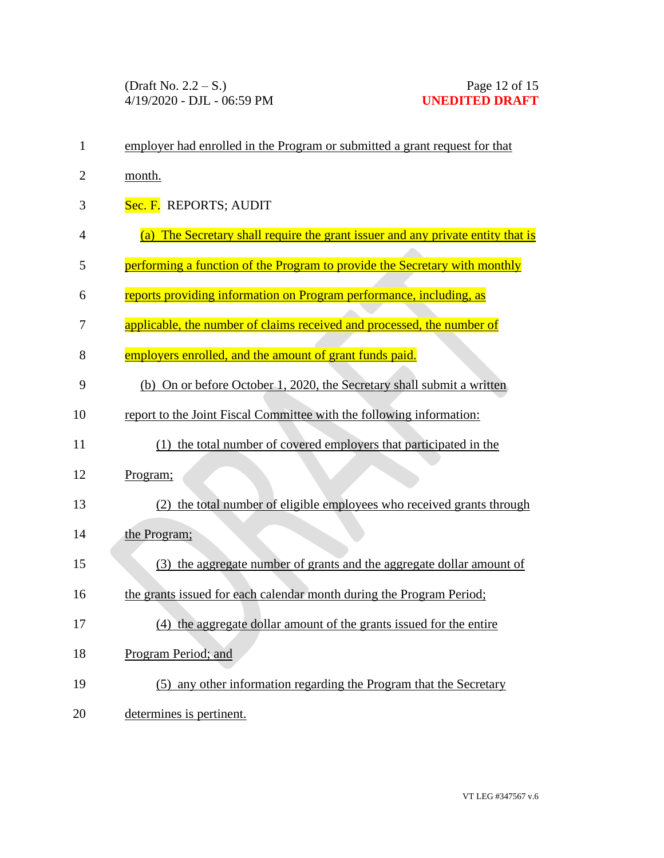| $\mathbf{1}$   | employer had enrolled in the Program or submitted a grant request for that      |
|----------------|---------------------------------------------------------------------------------|
| $\overline{2}$ | month.                                                                          |
| 3              | Sec. F. REPORTS; AUDIT                                                          |
| 4              | (a) The Secretary shall require the grant issuer and any private entity that is |
| 5              | performing a function of the Program to provide the Secretary with monthly      |
| 6              | reports providing information on Program performance, including, as             |
| 7              | applicable, the number of claims received and processed, the number of          |
| 8              | employers enrolled, and the amount of grant funds paid.                         |
| 9              | (b) On or before October 1, 2020, the Secretary shall submit a written          |
| 10             | report to the Joint Fiscal Committee with the following information:            |
| 11             | (1) the total number of covered employers that participated in the              |
| 12             | Program;                                                                        |
| 13             | the total number of eligible employees who received grants through              |
| 14             | the Program;                                                                    |
| 15             | (3) the aggregate number of grants and the aggregate dollar amount of           |
| 16             | the grants issued for each calendar month during the Program Period;            |
| 17             | (4) the aggregate dollar amount of the grants issued for the entire             |
| 18             | Program Period; and                                                             |
| 19             | (5) any other information regarding the Program that the Secretary              |
| 20             | determines is pertinent.                                                        |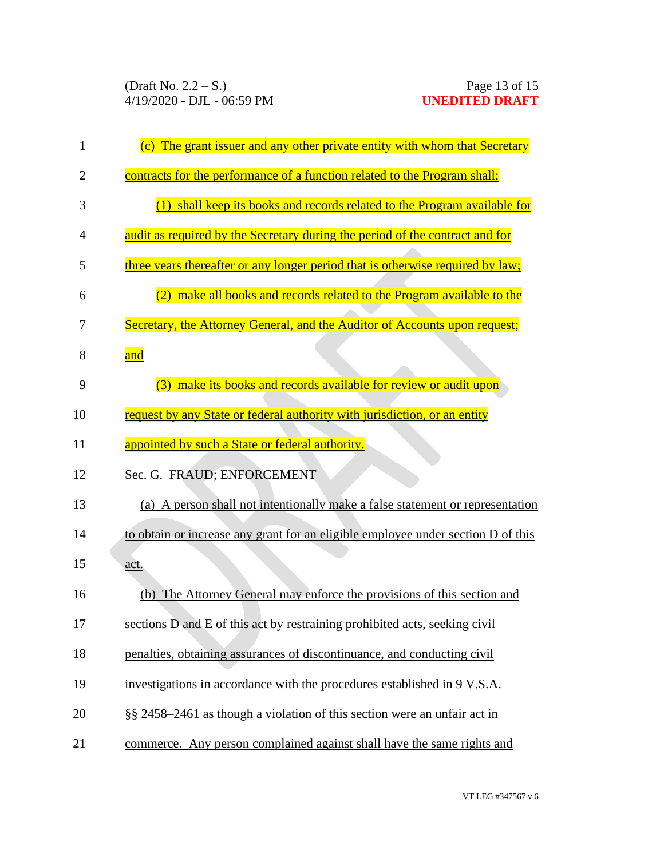| (c) The grant issuer and any other private entity with whom that Secretary       |
|----------------------------------------------------------------------------------|
| contracts for the performance of a function related to the Program shall:        |
| (1) shall keep its books and records related to the Program available for        |
| audit as required by the Secretary during the period of the contract and for     |
| three years thereafter or any longer period that is otherwise required by law;   |
| (2) make all books and records related to the Program available to the           |
| Secretary, the Attorney General, and the Auditor of Accounts upon request;       |
| and                                                                              |
| (3) make its books and records available for review or audit upon                |
| request by any State or federal authority with jurisdiction, or an entity        |
| appointed by such a State or federal authority.                                  |
| Sec. G. FRAUD; ENFORCEMENT                                                       |
| (a) A person shall not intentionally make a false statement or representation    |
| to obtain or increase any grant for an eligible employee under section D of this |
| <u>act.</u>                                                                      |
| (b) The Attorney General may enforce the provisions of this section and          |
| sections D and E of this act by restraining prohibited acts, seeking civil       |
| penalties, obtaining assurances of discontinuance, and conducting civil          |
| investigations in accordance with the procedures established in 9 V.S.A.         |
| §§ 2458–2461 as though a violation of this section were an unfair act in         |
| commerce. Any person complained against shall have the same rights and           |
|                                                                                  |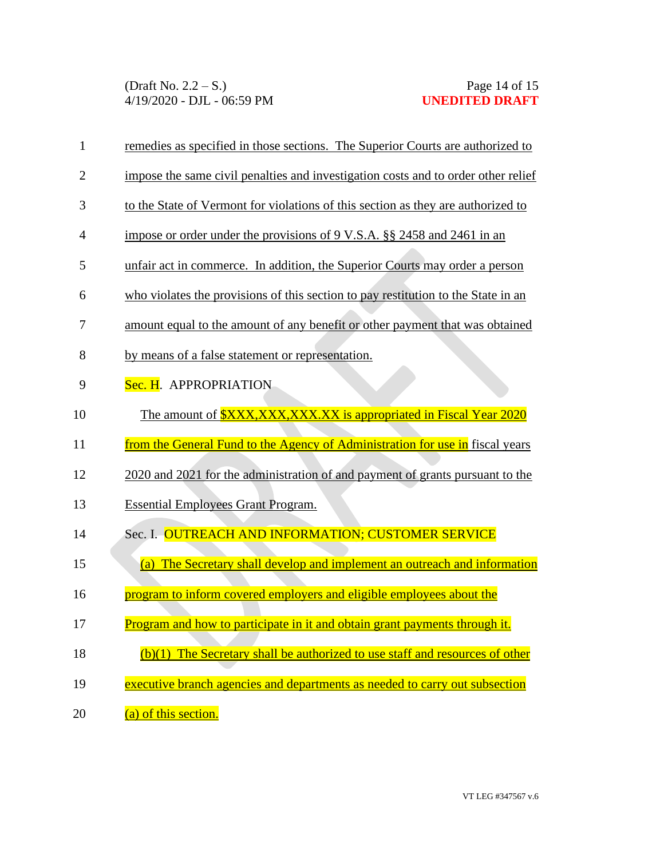| $\mathbf{1}$   | remedies as specified in those sections. The Superior Courts are authorized to    |
|----------------|-----------------------------------------------------------------------------------|
| $\overline{2}$ | impose the same civil penalties and investigation costs and to order other relief |
| 3              | to the State of Vermont for violations of this section as they are authorized to  |
| 4              | impose or order under the provisions of 9 V.S.A. §§ 2458 and 2461 in an           |
| 5              | unfair act in commerce. In addition, the Superior Courts may order a person       |
| 6              | who violates the provisions of this section to pay restitution to the State in an |
| 7              | amount equal to the amount of any benefit or other payment that was obtained      |
| 8              | by means of a false statement or representation.                                  |
| 9              | Sec. H. APPROPRIATION                                                             |
| 10             | The amount of <b>\$XXX,XXX,XXX.XX</b> is appropriated in Fiscal Year 2020         |
|                |                                                                                   |
| 11             | from the General Fund to the Agency of Administration for use in fiscal years     |
| 12             | 2020 and 2021 for the administration of and payment of grants pursuant to the     |
| 13             | <b>Essential Employees Grant Program.</b>                                         |
| 14             | Sec. I. OUTREACH AND INFORMATION; CUSTOMER SERVICE                                |
| 15             | (a) The Secretary shall develop and implement an outreach and information         |
| 16             | program to inform covered employers and eligible employees about the              |
| 17             | Program and how to participate in it and obtain grant payments through it.        |
| 18             | $(b)(1)$ The Secretary shall be authorized to use staff and resources of other    |
| 19             | executive branch agencies and departments as needed to carry out subsection       |